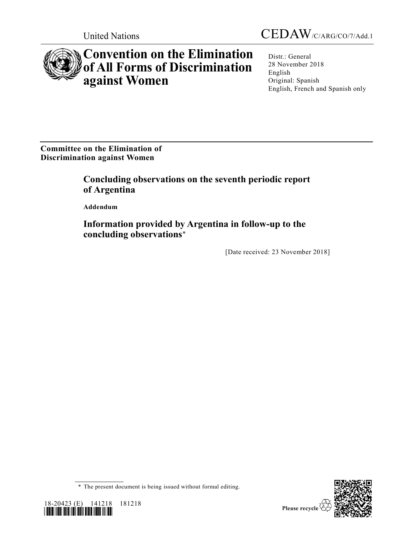



## **Convention on the Elimination of All Forms of Discrimination against Women**

Distr.: General 28 November 2018 English Original: Spanish English, French and Spanish only

**Committee on the Elimination of Discrimination against Women**

> **Concluding observations on the seventh periodic report of Argentina**

**Addendum**

**Information provided by Argentina in follow-up to the concluding observations**\*

[Date received: 23 November 2018]

<sup>\*</sup> The present document is being issued without formal editing.



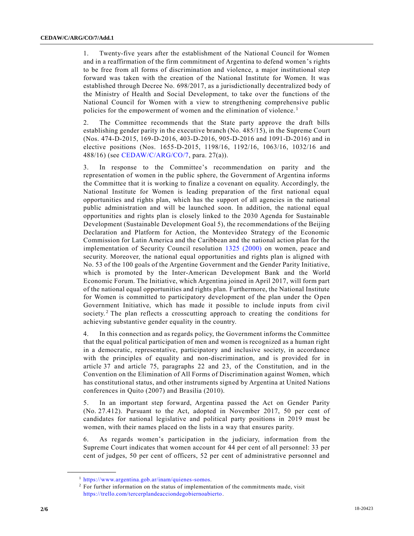1. Twenty-five years after the establishment of the National Council for Women and in a reaffirmation of the firm commitment of Argentina to defend women 's rights to be free from all forms of discrimination and violence, a major institutional step forward was taken with the creation of the National Institute for Women. It was established through Decree No. 698/2017, as a jurisdictionally decentralized body of the Ministry of Health and Social Development, to take over the functions of the National Council for Women with a view to strengthening comprehensive public policies for the empowerment of women and the elimination of violence.<sup>1</sup>

2. The Committee recommends that the State party approve the draft bills establishing gender parity in the executive branch (No. 485/15), in the Supreme Court (Nos. 474-D-2015, 169-D-2016, 403-D-2016, 905-D-2016 and 1091-D-2016) and in elective positions (Nos. 1655-D-2015, 1198/16, 1192/16, 1063/16, 1032/16 and 488/16) (see [CEDAW/C/ARG/CO/7,](https://undocs.org/CEDAW/C/ARG/CO/7) para. 27(a)).

3. In response to the Committee's recommendation on parity and the representation of women in the public sphere, the Government of Argentina informs the Committee that it is working to finalize a covenant on equality. Accordingly, the National Institute for Women is leading preparation of the first national equal opportunities and rights plan, which has the support of all agencies in the national public administration and will be launched soon. In addition, the national equal opportunities and rights plan is closely linked to the 2030 Agenda for Sustainable Development (Sustainable Development Goal 5), the recommendations of the Beijing Declaration and Platform for Action, the Montevideo Strategy of the Economic Commission for Latin America and the Caribbean and the national action plan for the implementation of Security Council resolution [1325 \(2000\)](https://undocs.org/S/RES/1325(2000)) on women, peace and security. Moreover, the national equal opportunities and rights plan is aligned with No. 53 of the 100 goals of the Argentine Government and the Gender Parity Initiative, which is promoted by the Inter-American Development Bank and the World Economic Forum. The Initiative, which Argentina joined in April 2017, will form part of the national equal opportunities and rights plan. Furthermore, the National Institute for Women is committed to participatory development of the plan under the Open Government Initiative, which has made it possible to include inputs from civil society.<sup>2</sup> The plan reflects a crosscutting approach to creating the conditions for achieving substantive gender equality in the country.

4. In this connection and as regards policy, the Government informs the Committee that the equal political participation of men and women is recognized as a human right in a democratic, representative, participatory and inclusive society, in accordance with the principles of equality and non-discrimination, and is provided for in article 37 and article 75, paragraphs 22 and 23, of the Constitution, and in the Convention on the Elimination of All Forms of Discrimination against Women, which has constitutional status, and other instruments signed by Argentina at United Nations conferences in Quito (2007) and Brasilia (2010).

5. In an important step forward, Argentina passed the Act on Gender Parity (No. 27.412). Pursuant to the Act, adopted in November 2017, 50 per cent of candidates for national legislative and political party positions in 2019 must be women, with their names placed on the lists in a way that ensures parity.

6. As regards women's participation in the judiciary, information from the Supreme Court indicates that women account for 44 per cent of all personnel: 33 per cent of judges, 50 per cent of officers, 52 per cent of administrative personnel and

<sup>1</sup> [https://www.argentina.gob.ar/inam/quienes-somos.](https://www.argentina.gob.ar/inam/quienes-somos)

<sup>&</sup>lt;sup>2</sup> For further information on the status of implementation of the commitments made, visit [https://trello.com/tercerplandeacciondegobiernoabierto.](https://trello.com/tercerplandeacciondegobiernoabierto)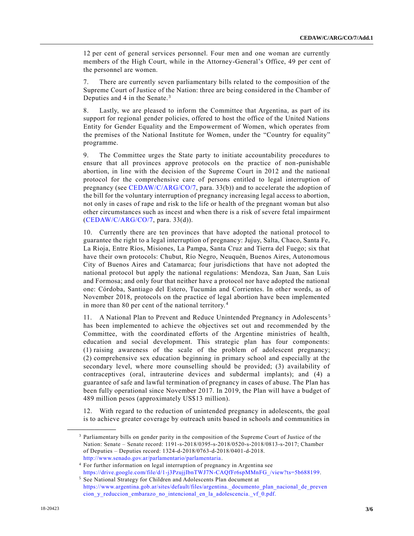12 per cent of general services personnel. Four men and one woman are currently members of the High Court, while in the Attorney-General's Office, 49 per cent of the personnel are women.

7. There are currently seven parliamentary bills related to the composition of the Supreme Court of Justice of the Nation: three are being considered in the Chamber of Deputies and 4 in the Senate.<sup>3</sup>

8. Lastly, we are pleased to inform the Committee that Argentina, as part of its support for regional gender policies, offered to host the office of the United Nations Entity for Gender Equality and the Empowerment of Women, which operates from the premises of the National Institute for Women, under the "Country for equality" programme.

9. The Committee urges the State party to initiate accountability procedures to ensure that all provinces approve protocols on the practice of non-punishable abortion, in line with the decision of the Supreme Court in 2012 and the national protocol for the comprehensive care of persons entitled to legal interruption of pregnancy (see [CEDAW/C/ARG/CO/7,](https://undocs.org/CEDAW/C/ARG/CO/7) para. 33(b)) and to accelerate the adoption of the bill for the voluntary interruption of pregnancy increasing legal access to abortion, not only in cases of rape and risk to the life or health of the pregnant woman but also other circumstances such as incest and when there is a risk of severe fetal impairment [\(CEDAW/C/ARG/CO/7,](https://undocs.org/CEDAW/C/ARG/CO/7) para. 33(d)).

10. Currently there are ten provinces that have adopted the national protocol to guarantee the right to a legal interruption of pregnancy: Jujuy, Salta, Chaco, Santa Fe, La Rioja, Entre Ríos, Misiones, La Pampa, Santa Cruz and Tierra del Fuego; six that have their own protocols: Chubut, Río Negro, Neuquén, Buenos Aires, Autonomous City of Buenos Aires and Catamarca; four jurisdictions that have not adopted the national protocol but apply the national regulations: Mendoza, San Juan, San Luis and Formosa; and only four that neither have a protocol nor have adopted the national one: Córdoba, Santiago del Estero, Tucumán and Corrientes. In other words, as of November 2018, protocols on the practice of legal abortion have been implemented in more than 80 per cent of the national territory. <sup>4</sup>

11. A National Plan to Prevent and Reduce Unintended Pregnancy in Adolescents <sup>5</sup> has been implemented to achieve the objectives set out and recommended by the Committee, with the coordinated efforts of the Argentine ministries of health, education and social development. This strategic plan has four components: (1) raising awareness of the scale of the problem of adolescent pregnancy; (2) comprehensive sex education beginning in primary school and especially at the secondary level, where more counselling should be provided; (3) availability of contraceptives (oral, intrauterine devices and subdermal implants); and (4) a guarantee of safe and lawful termination of pregnancy in cases of abuse. The Plan has been fully operational since November 2017. In 2019, the Plan will have a budget of 489 million pesos (approximately US\$13 million).

12. With regard to the reduction of unintended pregnancy in adolescents, the goal is to achieve greater coverage by outreach units based in schools and communities in

<sup>&</sup>lt;sup>3</sup> Parliamentary bills on gender parity in the composition of the Supreme Court of Justice of the Nation: Senate – Senate record: 1191-s-2018/0395-s-2018/0520-s-2018/0813-s-2017; Chamber of Deputies – Deputies record: 1324-d-2018/0763-d-2018/0401-d-2018. [http://www.senado.gov.ar/parlamentario/parlamentaria.](http://www.senado.gov.ar/parlamentario/parlamentaria)

<sup>4</sup> For further information on legal interruption of pregnancy in Argentina see

[https://drive.google.com/file/d/1-j3PzujjIbnTWJ7N-CAQfFr6spMMnFG\\_/view?ts=5b688199.](https://drive.google.com/file/d/1-j3PzujjIbnTWJ7N-CAQfFr6spMMnFG_/view?ts=5b688199) <sup>5</sup> See National Strategy for Children and Adolescents Plan document at

[https://www.argentina.gob.ar/sites/default/files/argentina.\\_documento\\_plan\\_nacional\\_de\\_preven](https://www.argentina.gob.ar/sites/default/files/argentina._documento_plan_nacional_de_prevencion_y_reduccion_embarazo_no_intencional_en_la_adolescencia._vf_0.pdf) [cion\\_y\\_reduccion\\_embarazo\\_no\\_intencional\\_en\\_la\\_adolescencia.\\_vf\\_0.pdf.](https://www.argentina.gob.ar/sites/default/files/argentina._documento_plan_nacional_de_prevencion_y_reduccion_embarazo_no_intencional_en_la_adolescencia._vf_0.pdf)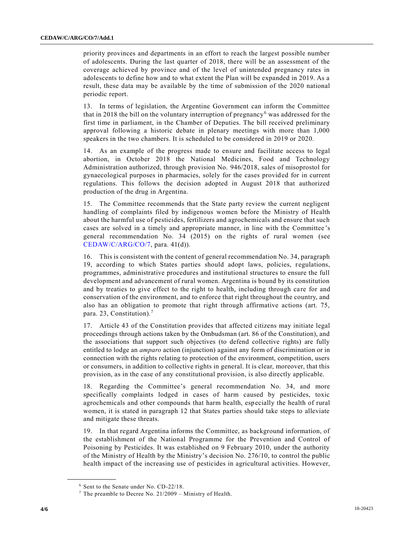priority provinces and departments in an effort to reach the largest possible number of adolescents. During the last quarter of 2018, there will be an assessment of the coverage achieved by province and of the level of unintended pregnancy rates in adolescents to define how and to what extent the Plan will be expanded in 2019. As a result, these data may be available by the time of submission of the 2020 national periodic report.

13. In terms of legislation, the Argentine Government can inform the Committee that in 2018 the bill on the voluntary interruption of pregnancy<sup>6</sup> was addressed for the first time in parliament, in the Chamber of Deputies. The bill received preliminary approval following a historic debate in plenary meetings with more than 1,000 speakers in the two chambers. It is scheduled to be considered in 2019 or 2020.

14. As an example of the progress made to ensure and facilitate access to legal abortion, in October 2018 the National Medicines, Food and Technology Administration authorized, through provision No. 946/2018, sales of misoprostol for gynaecological purposes in pharmacies, solely for the cases provided for in current regulations. This follows the decision adopted in August 2018 that authorized production of the drug in Argentina.

15. The Committee recommends that the State party review the current negligent handling of complaints filed by indigenous women before the Ministry of Health about the harmful use of pesticides, fertilizers and agrochemicals and ensure that such cases are solved in a timely and appropriate manner, in line with the Committee 's general recommendation No. 34 (2015) on the rights of rural women (see [CEDAW/C/ARG/CO/7,](https://undocs.org/CEDAW/C/ARG/CO/7) para. 41(d)).

16. This is consistent with the content of general recommendation No. 34, paragraph 19, according to which States parties should adopt laws, policies, regulations, programmes, administrative procedures and institutional structures to ensure the full development and advancement of rural women. Argentina is bound by its constitution and by treaties to give effect to the right to health, including through care for and conservation of the environment, and to enforce that right throughout the country, and also has an obligation to promote that right through affirmative actions (art. 75, para. 23, Constitution).<sup>7</sup>

17. Article 43 of the Constitution provides that affected citizens may initiate legal proceedings through actions taken by the Ombudsman (art. 86 of the Constitution), and the associations that support such objectives (to defend collective rights) are fully entitled to lodge an *amparo* action (injunction) against any form of discrimination or in connection with the rights relating to protection of the environment, competition, users or consumers, in addition to collective rights in general. It is clear, moreover, that this provision, as in the case of any constitutional provision, is also directly applicable.

18. Regarding the Committee's general recommendation No. 34, and more specifically complaints lodged in cases of harm caused by pesticides, toxic agrochemicals and other compounds that harm health, especially the health of rural women, it is stated in paragraph 12 that States parties should take steps to alleviate and mitigate these threats.

19. In that regard Argentina informs the Committee, as background information, of the establishment of the National Programme for the Prevention and Control of Poisoning by Pesticides. It was established on 9 February 2010, under the authority of the Ministry of Health by the Ministry's decision No. 276/10, to control the public health impact of the increasing use of pesticides in agricultural activities. However,

<sup>6</sup> Sent to the Senate under No. CD-22/18.

 $7$  The preamble to Decree No. 21/2009 – Ministry of Health.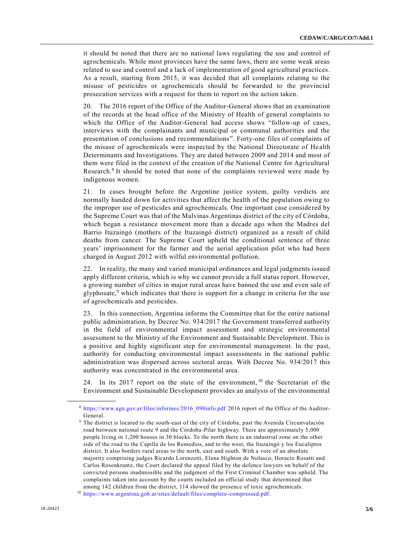it should be noted that there are no national laws regulating the use and control of agrochemicals. While most provinces have the same laws, there are some weak areas related to use and control and a lack of implementation of good agricultural practices. As a result, starting from 2015, it was decided that all complaints relating to the misuse of pesticides or agrochemicals should be forwarded to the provincial prosecution services with a request for them to report on the action taken.

20. The 2016 report of the Office of the Auditor-General shows that an examination of the records at the head office of the Ministry of Health of general complaints to which the Office of the Auditor-General had access shows "follow-up of cases, interviews with the complainants and municipal or communal authorities and the presentation of conclusions and recommendations". Forty-one files of complaints of the misuse of agrochemicals were inspected by the National Directorate of He alth Determinants and Investigations. They are dated between 2009 and 2014 and most of them were filed in the context of the creation of the National Centre for Agricultural Research.<sup>8</sup> It should be noted that none of the complaints reviewed were made by indigenous women.

21. In cases brought before the Argentine justice system, guilty verdicts are normally handed down for activities that affect the health of the population owing to the improper use of pesticides and agrochemicals. One important case conside red by the Supreme Court was that of the Malvinas Argentinas district of the city of Córdoba, which began a resistance movement more than a decade ago when the Madres del Barrio Ituzaingó (mothers of the Ituzaingó district) organized as a result of child deaths from cancer. The Supreme Court upheld the conditional sentence of three years' imprisonment for the farmer and the aerial application pilot who had been charged in August 2012 with wilful environmental pollution.

22. In reality, the many and varied municipal ordinances and legal judgments issued apply different criteria, which is why we cannot provide a full status report. However, a growing number of cities in major rural areas have banned the use and even sale of glyphosate, $9$  which indicates that there is support for a change in criteria for the use of agrochemicals and pesticides.

23. In this connection, Argentina informs the Committee that for the entire national public administration, by Decree No. 934/2017 the Government transferred authority in the field of environmental impact assessment and strategic environmental assessment to the Ministry of the Environment and Sustainable Development. This is a positive and highly significant step for environmental management. In the past, authority for conducting environmental impact assessments in the national public administration was dispersed across sectoral areas. With Decree No. 934/2017 this authority was concentrated in the environmental area.

24. In its 2017 report on the state of the environment,  $10$  the Secretariat of the Environment and Sustainable Development provides an analysis of the environmental

<sup>8</sup> [https://www.agn.gov.ar/files/informes/2016\\_090info.pdf](https://www.agn.gov.ar/files/informes/2016_090info.pdf) 2016 report of the Office of the Auditor-General.

<sup>&</sup>lt;sup>9</sup> The district is located to the south-east of the city of Córdoba, past the Avenida Circunvalación road between national route 9 and the Córdoba-Pilar highway. There are approximately 5,000 people living in 1,200 houses in 30 blocks. To the north there is an industrial zone on the other side of the road to the Capilla de los Remedios, and to the west, the Ituzaingó y los Eucaliptos district. It also borders rural areas to the north, east and south. With a vote of an absolute majority comprising judges Ricardo Lorenzetti, Elena Highton de Nolasco, Horacio Rosatti and Carlos Rosenkrantz, the Court declared the appeal filed by the defence lawyers on behalf of the convicted persons inadmissible and the judgment of the First Criminal Chamber was upheld. The complaints taken into account by the courts included an official study that determined that among 142 children from the district, 114 showed the presence of toxic agrochemicals.

<sup>10</sup> [https://www.argentina.gob.ar/sites/default/files/completo-compressed.pdf.](https://www.argentina.gob.ar/sites/default/files/completo-compressed.pdf)